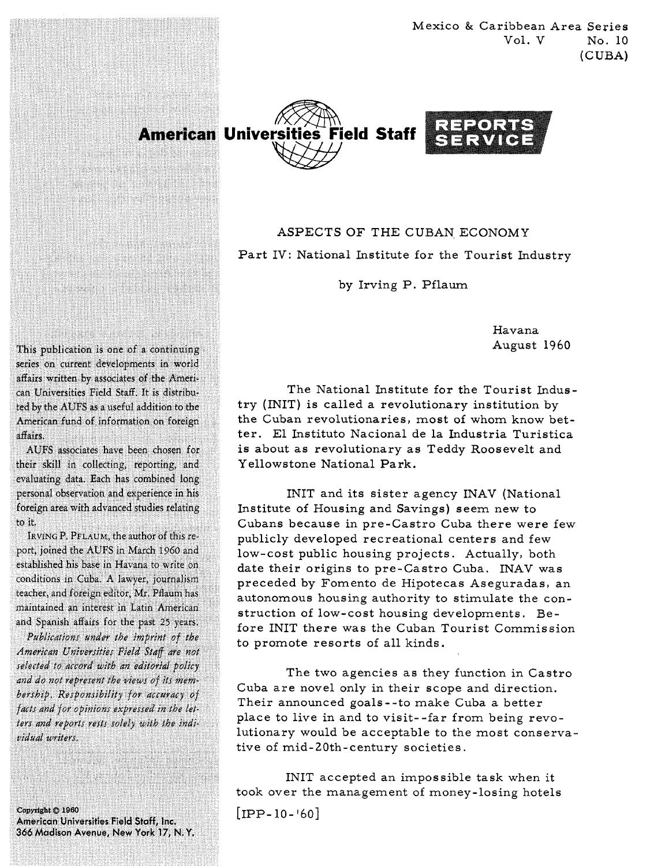Mexico & Caribbean Area Series Vol. V No. 10 (CUBA)





ASPECTS OF THE CUBAN ECONOMY Part IV: National Institute for the Tourist Industry

by Irving P. Pflaum

Havana August 1960

The National Institute for the Tourist Industry (INIT) is called a revolutionary institution by the Cuban revolutionaries, most of whom know better. El Instituto Nacional de la Industria Turistica is about as revolutionary as Teddy Roosevelt and Y ellowstone National Park.

INIT and its sister agency INAV (National Institute of Housing and Savings) seem new to Cubans because in pre-Castro Cuba there were few publicly developed recreational centers and few low-cost public housing projects. Actually, both date their origins to pre-Castro Cuba. INAV was preceded by Fomento de Hipotecas Aseguradas, an autonomous housing authority to stimulate the construction of low-cost housing developments. Before INIT there was the Cuban Tourist Commission to promote resorts of all kinds.

The two agencies as they function in Castro Cuba are novel only in their scope and direction. Their announced goals--to make Cuba a better place to live in and to visit--far from being revolutionary would be acceptable to the most conservative of mid-20th-century societies.

INIT accepted an impossible task when it took over the management of money-losing hotels

 $[IPP-10-160]$ 

This publication is one of a continuing series on current developments in world affairs written by associates of the American Universities Field Staff. It is distributed by the AUFS as a useful addition to the American fund of information on foreign affairs.

<u> 174 partit di Liberato di S</u>

<u> Karamatan Ing Pa</u> NEPAS MENTRANK PRO an kalendari dan berasala dan sebagai dalam kecamatan dan berasa dalam kecamatan dan berasala dalam kecamatan<br>Sebagai dalam kecamatan dan berasala dalam kecamatan dan berasala dalam berasala dalam berasala dalam kecamata

AUFS associates have been chosen for their skill in collecting, reporting, and evaluating data. Each has combined long personal observation and experience in his foreign area with advanced studies relating to it.

IRVING P. PFLAUM, the author of this report, joined the AUFS in March 1960 and established his base in Havana to write on conditions in Cuba. A lawyer, journalism teacher, and foreign editor, Mr. Pflaum has maintained an interest in Latin American and Spanish affairs for the past 25 years.

Publications under the imprint of the American Universities Field Staff are not selected to accord with an editorial policy and do not represent the views of its membership. Responsibility for accuracy of facts and for opinions expressed in the letters and reports rests solely with the individual writers.

Copyright © 1960 American Universities Field Staff, Inc. 366 Madison Avenue, New York 17, N.Y.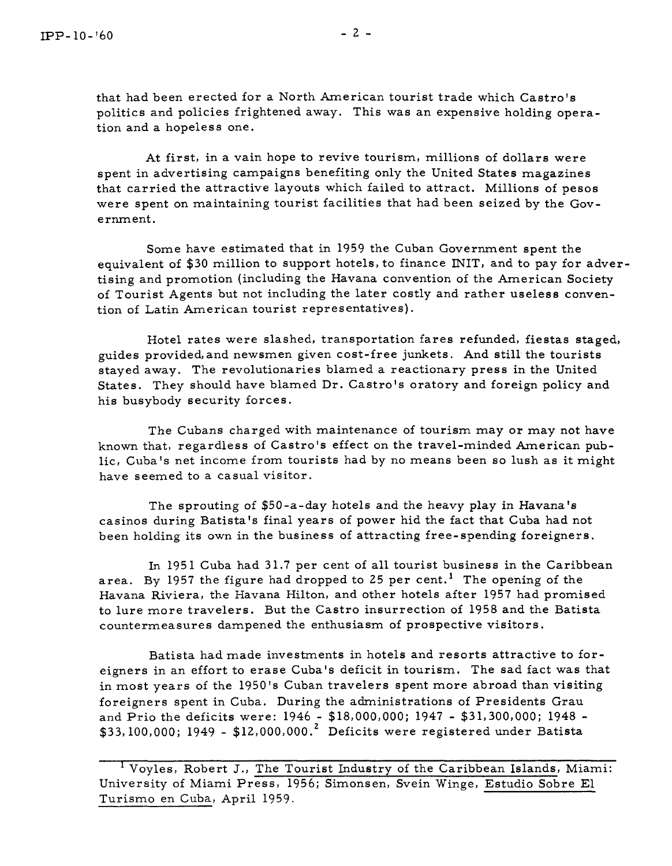that had been erected for a North American tourist trade which Castro's politics and policies frightened away. This was an expensive holding operation and a hopeless one.

At first, in a vain hope to revive tourism, millions of dollars were spent in advertising campaigns benefiting only the United States magazines that carried the attractive layouts which failed to attract. Millions of pesos were spent on maintaining tourist facilities that had been seized by the Government.

Some have estimated that in 1959 the Cuban Government spent the equivalent of \$30 million to support hotels, to finance INIT, and to pay for advertising and promotion (including the Havana convention of the American Society of Tourist Agents but not including the later costly and rather useless convention of Latin American tourist representatives).

Hotel rates were slashed, transportation fares refunded, fiestas staged, guides provided,and newsmen given cost-free junkets. And still the tourists stayed away. The revolutionaries blamed a reactionary press in the United States. They should have blamed Dr. Castro's oratory and foreign policy and his busybody security forces.

The Cubans charged with maintenance of tourism may or may not have known that, regardless of Castro's effect on the travel-minded American public, Cuba's net income from tourists had by no means been so lush as it might have seemed to a casual visitor.

The sprouting of \$50-a-day hotels and the heavy play in Havana's casinos during Batista's final years of power hid the fact that Cuba had not been holding its own in the business of attracting free-spending foreigners.

In 1951 Cuba had 31.7 per cent of all tourist business in the Caribbean area. By 1957 the figure had dropped to 25 per cent.<sup>1</sup> The opening of the Havana Riviera, the Havana Hilton, and other hotels after 1957 had promised to lure more travelers. But the Castro insurrection of 1958 and the Batista countermeasures dampened the enthusiasm of prospective visitors.

Batista had made investments in hotels and resorts attractive to foreigners in an effort to erase Cuba's deficit in tourism. The sad fact was that in most years of the 1950's Cuban travelers spent more abroad than visiting foreigners spent in Cuba. During the administrations of Presidents Grau and Prio the deficits were: 1946 - \$18,000,000; 1947 - \$31,300,000; 1948 -  $$33,100,000; 1949 - $12,000,000.<sup>2</sup>$  Deficits were registered under Batista

Voyles, Robert J., The Tourist Industry of the Caribbean Islands, Miami: University of Miami Press, 1956; Simonsen, Svein Winge, Estudio Sobre El Turismo en Cuba, April 1959.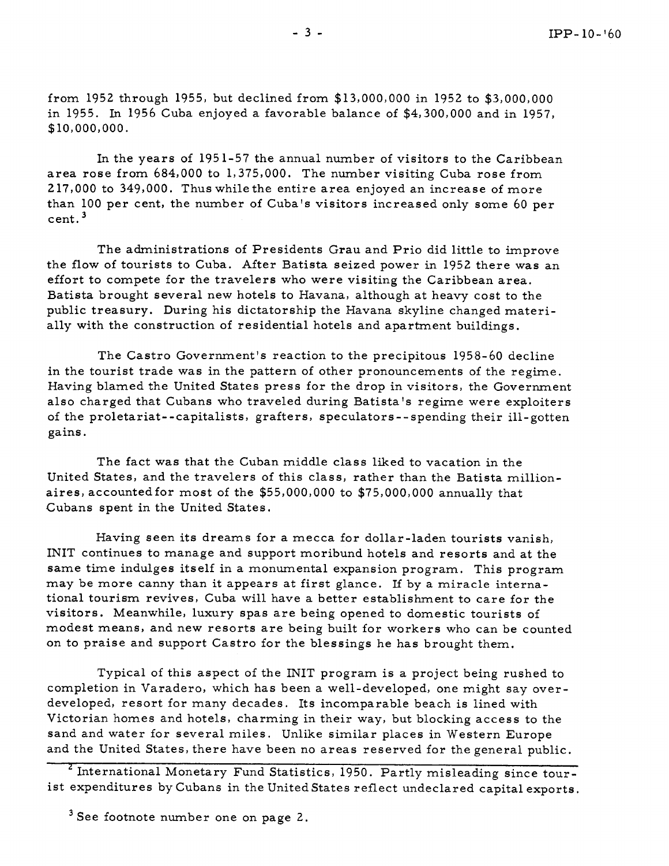from 1952 through 1955, but declined from \$13,000,000 in 1952 to \$3,000,000 in 1955. In 1956 Cuba enjoyed a favorable balance of \$4,300,000 and in 1957, \$10,000,000.

In the years of 195 1-57 the annual number of visitors to the Caribbean area rose from 684,000 to 1,375,000. The number visiting Cuba rose from 217,000 to 349,000. Thus whilethe entire area enjoyed an increase of more than 100 per cent, the number of Cuba's visitors increased only some 60 per cent. **<sup>3</sup>**

The administrations of Presidents Grau and Prio did little to improve the flow of tourists to Cuba. After Batista seized power in 1952 there was an effort to compete for the travelers who were visiting the Caribbean area. Batista brought several new hotels to Havana, although at heavy cost to the public treasury. During his dictatorship the Havana skyline changed materially with the construction of residential hotels and apartment buildings.

The Castro Government's reaction to the precipitous 1958-60 decline in the tourist trade was in the pattern of other pronouncements of the regime. Having blamed the United States press for the drop in visitors, the Government also charged that Cubans who traveled during Batista 's regime were exploiters of the proletariat- -capitalists, grafters, speculators - - spending their ill-gotten gains.

The fact was that the Cuban middle class liked to vacation in the United States, and the travelers of this class, rather than the Batista millionaires, accountedfor most of the \$55,000,000 to \$75,000,000 annually that Cubans spent in the United States.

Having seen its dreams for a mecca for dollar-laden tourists vanish, INIT continues to manage and support moribund hotels and resorts and at the same time indulges itself in a monumental expansion program. This program may be more canny than it appears at first glance. If by a miracle international tourism revives, Cuba will have a better establishment to care for the visitors. Meanwhile, luxury spas are being opened to domestic tourists of modest means, and new resorts are being built for workers who can be counted on to praise and support Castro for the blessings he has brought them.

Typical of this aspect of the INIT program is a project being rushed to completion in Varadero, which has been a well-developed, one might say overdeveloped, resort for many decades. Its incomparable beach is lined with Victorian homes and hotels, charming in their way, but blocking access to the sand and water for several miles. Unlike similar places in Western Europe and the United States, there have been no areas reserved for the general public.

<sup>2</sup> International Monetary Fund Statistics, 1950. Partly misleading since tourist expenditures by Cubans in the United States reflect undeclared capital exports.

 $3$  See footnote number one on page 2.